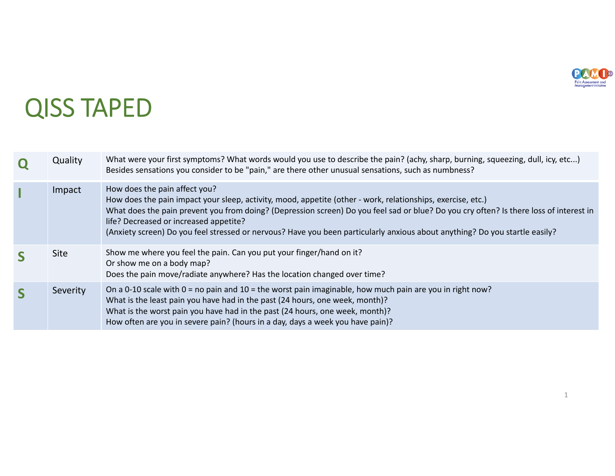

1

## QISS TAPED

| Quality     | What were your first symptoms? What words would you use to describe the pain? (achy, sharp, burning, squeezing, dull, icy, etc)<br>Besides sensations you consider to be "pain," are there other unusual sensations, such as numbness?                                                                                                                                                                                                                          |  |
|-------------|-----------------------------------------------------------------------------------------------------------------------------------------------------------------------------------------------------------------------------------------------------------------------------------------------------------------------------------------------------------------------------------------------------------------------------------------------------------------|--|
| Impact      | How does the pain affect you?<br>How does the pain impact your sleep, activity, mood, appetite (other - work, relationships, exercise, etc.)<br>What does the pain prevent you from doing? (Depression screen) Do you feel sad or blue? Do you cry often? Is there loss of interest in<br>life? Decreased or increased appetite?<br>(Anxiety screen) Do you feel stressed or nervous? Have you been particularly anxious about anything? Do you startle easily? |  |
| <b>Site</b> | Show me where you feel the pain. Can you put your finger/hand on it?<br>Or show me on a body map?<br>Does the pain move/radiate anywhere? Has the location changed over time?                                                                                                                                                                                                                                                                                   |  |
| Severity    | On a 0-10 scale with $0 =$ no pain and $10 =$ the worst pain imaginable, how much pain are you in right now?<br>What is the least pain you have had in the past (24 hours, one week, month)?<br>What is the worst pain you have had in the past (24 hours, one week, month)?<br>How often are you in severe pain? (hours in a day, days a week you have pain)?                                                                                                  |  |